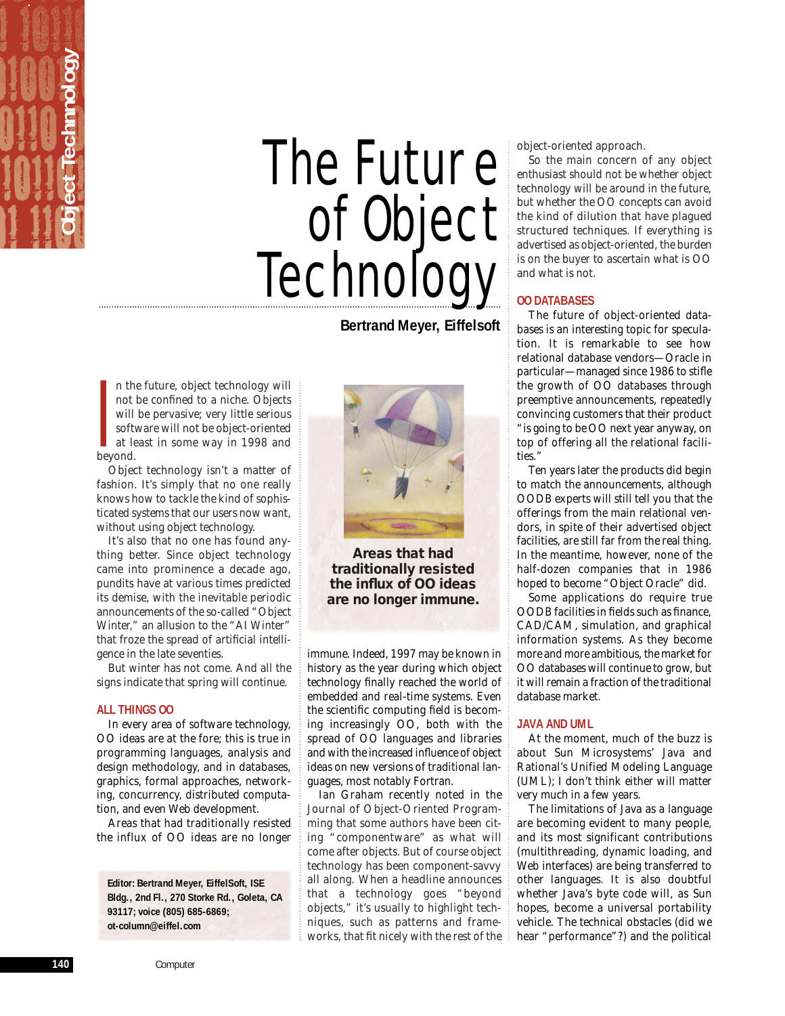

## The Future of Object **Technology**

**Bertrand Meyer, Eiffelsoft**

**I**<br>I<br>bev n the future, object technology will not be confined to a niche. Objects will be pervasive; very little serious software will not be object-oriented at least in some way in 1998 and beyond.

Object technology isn't a matter of fashion. It's simply that no one really knows how to tackle the kind of sophisticated systems that our users now want, without using object technology.

**140** Computer and the influence of the influence of the confined will be pervasive software will no at least in some beyond.<br>
Computer technology and Consumer technique of the bear of the state of the state in some pundit It's also that no one has found anything better. Since object technology came into prominence a decade ago, pundits have at various times predicted its demise, with the inevitable periodic announcements of the so-called "Object Winter," an allusion to the "AI Winter" that froze the spread of artificial intelligence in the late seventies.

But winter has not come. And all the signs indicate that spring will continue.

## **ALL THINGS OO**

In every area of software technology, OO ideas are at the fore; this is true in programming languages, analysis and design methodology, and in databases, graphics, formal approaches, networking, concurrency, distributed computation, and even Web development.

Areas that had traditionally resisted the influx of OO ideas are no longer

**Editor: Bertrand Meyer, EiffelSoft, ISE Bldg., 2nd Fl., 270 Storke Rd., Goleta, CA 93117; voice (805) 685-6869; ot-column@eiffel.com**



**Areas that had traditionally resisted the influx of OO ideas are no longer immune.**

immune. Indeed, 1997 may be known in history as the year during which object technology finally reached the world of embedded and real-time systems. Even the scientific computing field is becoming increasingly OO, both with the spread of OO languages and libraries and with the increased influence of object ideas on new versions of traditional languages, most notably Fortran.

Ian Graham recently noted in the *Journal of Object-Oriented Programming* that some authors have been citing "componentware" as what will come after objects. But of course object technology has been component-savvy all along. When a headline announces that a technology goes "beyond objects," it's usually to highlight techniques, such as patterns and frameworks, that fit nicely with the rest of the object-oriented approach.

So the main concern of any object enthusiast should not be whether object technology will be around in the future, but whether the OO concepts can avoid the kind of dilution that have plagued structured techniques. If everything is advertised as object-oriented, the burden is on the buyer to ascertain what is OO and what is not.

## **OO DATABASES**

The future of object-oriented databases is an interesting topic for speculation. It is remarkable to see how relational database vendors—Oracle in particular—managed since 1986 to stifle the growth of OO databases through preemptive announcements, repeatedly convincing customers that their product "is going to be OO next year anyway, on top of offering all the relational facilities."

Ten years later the products did begin to match the announcements, although OODB experts will still tell you that the offerings from the main relational vendors, in spite of their advertised object facilities, are still far from the real thing. In the meantime, however, none of the half-dozen companies that in 1986 hoped to become "Object Oracle" did.

Some applications do require true OODB facilities in fields such as finance, CAD/CAM, simulation, and graphical information systems. As they become more and more ambitious, the market for OO databases will continue to grow, but it will remain a fraction of the traditional database market.

## **JAVA AND UML**

At the moment, much of the buzz is about Sun Microsystems' Java and Rational's Unified Modeling Language (UML); I don't think either will matter very much in a few years.

The limitations of Java as a language are becoming evident to many people, and its most significant contributions (multithreading, dynamic loading, and Web interfaces) are being transferred to other languages. It is also doubtful whether Java's byte code will, as Sun hopes, become a universal portability vehicle. The technical obstacles (did we hear "performance"?) and the political